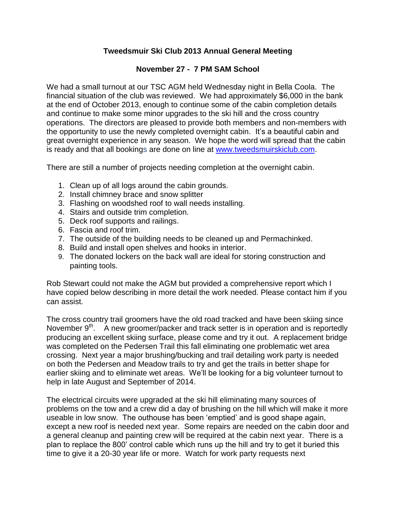## **Tweedsmuir Ski Club 2013 Annual General Meeting**

## **November 27 - 7 PM SAM School**

We had a small turnout at our TSC AGM held Wednesday night in Bella Coola. The financial situation of the club was reviewed. We had approximately \$6,000 in the bank at the end of October 2013, enough to continue some of the cabin completion details and continue to make some minor upgrades to the ski hill and the cross country operations. The directors are pleased to provide both members and non-members with the opportunity to use the newly completed overnight cabin. It's a beautiful cabin and great overnight experience in any season. We hope the word will spread that the cabin is ready and that all bookings are done on line at [www.tweedsmuirskiclub.com.](http://www.tweedsmuirskiclub.com/)

There are still a number of projects needing completion at the overnight cabin.

- 1. Clean up of all logs around the cabin grounds.
- 2. Install chimney brace and snow splitter
- 3. Flashing on woodshed roof to wall needs installing.
- 4. Stairs and outside trim completion.
- 5. Deck roof supports and railings.
- 6. Fascia and roof trim.
- 7. The outside of the building needs to be cleaned up and Permachinked.
- 8. Build and install open shelves and hooks in interior.
- 9. The donated lockers on the back wall are ideal for storing construction and painting tools.

Rob Stewart could not make the AGM but provided a comprehensive report which I have copied below describing in more detail the work needed. Please contact him if you can assist.

The cross country trail groomers have the old road tracked and have been skiing since November  $9<sup>th</sup>$ . A new groomer/packer and track setter is in operation and is reportedly producing an excellent skiing surface, please come and try it out. A replacement bridge was completed on the Pedersen Trail this fall eliminating one problematic wet area crossing. Next year a major brushing/bucking and trail detailing work party is needed on both the Pedersen and Meadow trails to try and get the trails in better shape for earlier skiing and to eliminate wet areas. We'll be looking for a big volunteer turnout to help in late August and September of 2014.

The electrical circuits were upgraded at the ski hill eliminating many sources of problems on the tow and a crew did a day of brushing on the hill which will make it more useable in low snow. The outhouse has been 'emptied' and is good shape again, except a new roof is needed next year. Some repairs are needed on the cabin door and a general cleanup and painting crew will be required at the cabin next year. There is a plan to replace the 800' control cable which runs up the hill and try to get it buried this time to give it a 20-30 year life or more. Watch for work party requests next